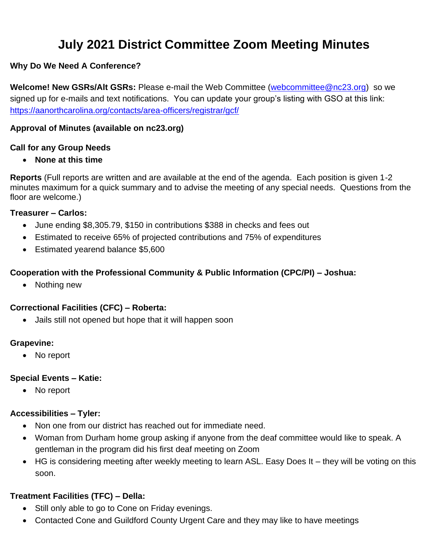# **July 2021 District Committee Zoom Meeting Minutes**

#### **Why Do We Need A Conference?**

**Welcome! New GSRs/Alt GSRs:** Please e-mail the Web Committee [\(webcommittee@nc23.org\)](mailto:webcommittee@nc23.org) so we signed up for e-mails and text notifications. You can update your group's listing with GSO at this link: <https://aanorthcarolina.org/contacts/area-officers/registrar/gcf/>

#### **Approval of Minutes (available on nc23.org)**

#### **Call for any Group Needs**

• **None at this time**

**Reports** (Full reports are written and are available at the end of the agenda. Each position is given 1-2 minutes maximum for a quick summary and to advise the meeting of any special needs. Questions from the floor are welcome.)

#### **Treasurer – Carlos:**

- June ending \$8,305.79, \$150 in contributions \$388 in checks and fees out
- Estimated to receive 65% of projected contributions and 75% of expenditures
- Estimated yearend balance \$5,600

#### **Cooperation with the Professional Community & Public Information (CPC/PI) – Joshua:**

• Nothing new

#### **Correctional Facilities (CFC) – Roberta:**

• Jails still not opened but hope that it will happen soon

#### **Grapevine:**

• No report

#### **Special Events – Katie:**

• No report

#### **Accessibilities – Tyler:**

- Non one from our district has reached out for immediate need.
- Woman from Durham home group asking if anyone from the deaf committee would like to speak. A gentleman in the program did his first deaf meeting on Zoom
- HG is considering meeting after weekly meeting to learn ASL. Easy Does It they will be voting on this soon.

#### **Treatment Facilities (TFC) – Della:**

- Still only able to go to Cone on Friday evenings.
- Contacted Cone and Guildford County Urgent Care and they may like to have meetings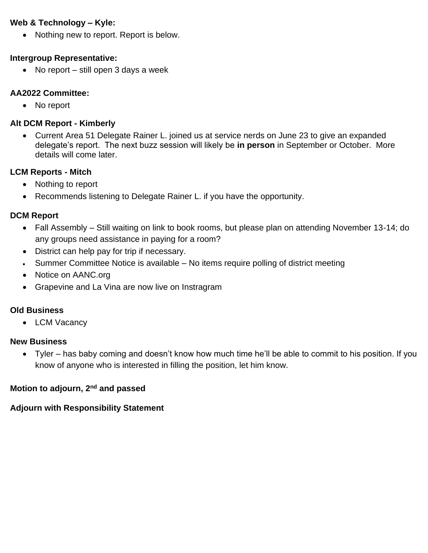#### **Web & Technology – Kyle:**

• Nothing new to report. Report is below.

#### **Intergroup Representative:**

• No report – still open 3 days a week

#### **AA2022 Committee:**

• No report

#### **Alt DCM Report - Kimberly**

• Current Area 51 Delegate Rainer L. joined us at service nerds on June 23 to give an expanded delegate's report. The next buzz session will likely be **in person** in September or October. More details will come later.

#### **LCM Reports - Mitch**

- Nothing to report
- Recommends listening to Delegate Rainer L. if you have the opportunity.

#### **DCM Report**

- Fall Assembly Still waiting on link to book rooms, but please plan on attending November 13-14; do any groups need assistance in paying for a room?
- District can help pay for trip if necessary.
- Summer Committee Notice is available No items require polling of district meeting
- Notice on AANC.org
- Grapevine and La Vina are now live on Instragram

#### **Old Business**

• LCM Vacancy

#### **New Business**

• Tyler – has baby coming and doesn't know how much time he'll be able to commit to his position. If you know of anyone who is interested in filling the position, let him know.

#### **Motion to adjourn, 2nd and passed**

### **Adjourn with Responsibility Statement**